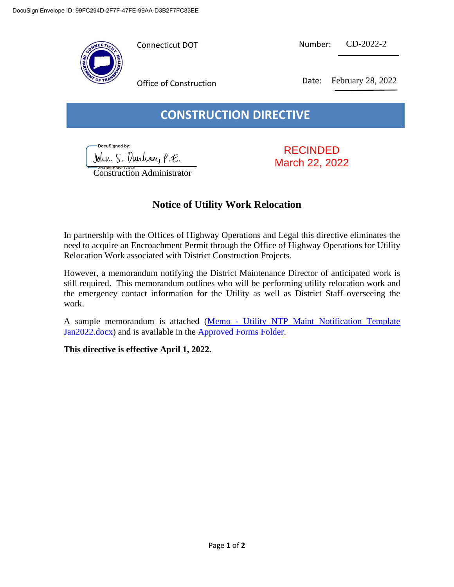

| Connecticut DOT | Number: | $CD-2022-2$ |
|-----------------|---------|-------------|
|                 |         |             |

Office of Construction Date: February 28, 2022

## **CONSTRUCTION DIRECTIVE**

DocuSigned by: John S. Durham, P.E.

Construction Administrator

RECINDED March 22, 2022

## **Notice of Utility Work Relocation**

In partnership with the Offices of Highway Operations and Legal this directive eliminates the need to acquire an Encroachment Permit through the Office of Highway Operations for Utility Relocation Work associated with District Construction Projects.

However, a memorandum notifying the District Maintenance Director of anticipated work is still required. This memorandum outlines who will be performing utility relocation work and the emergency contact information for the Utility as well as District Staff overseeing the work.

A sample memorandum is attached (Memo - [Utility NTP Maint Notification Template](https://ctgovexec.sharepoint.com/:w:/r/sites/DOTConstructionDistricts/Shared%20Documents/Approved%20Forms%20and%20Inspection%20Checklists/Approved%20Forms/Memo%20-%20Utility%20NTP%20Maint%20Notification%20Template%20Jan2022.docx?d=wd9b614946478409bb20c1e5931258e50&csf=1&web=1&e=uibMru)  [Jan2022.docx\)](https://ctgovexec.sharepoint.com/:w:/r/sites/DOTConstructionDistricts/Shared%20Documents/Approved%20Forms%20and%20Inspection%20Checklists/Approved%20Forms/Memo%20-%20Utility%20NTP%20Maint%20Notification%20Template%20Jan2022.docx?d=wd9b614946478409bb20c1e5931258e50&csf=1&web=1&e=uibMru) and is available in the [Approved Forms Folder.](https://ctgovexec.sharepoint.com/sites/DOTConstructionDistricts/Shared%20Documents/Forms/AllItems.aspx?csf=1&web=1&e=m4GchA&cid=73d9bf45%2D2ece%2D49c6%2Db94a%2D6ece620061b2&RootFolder=%2Fsites%2FDOTConstructionDistricts%2FShared%20Documents%2FApproved%20Forms%20and%20Inspection%20Checklists%2FApproved%20Forms&FolderCTID=0x01200060994DA413E0AB49A6B071E6C9D777D3)

**This directive is effective April 1, 2022.**